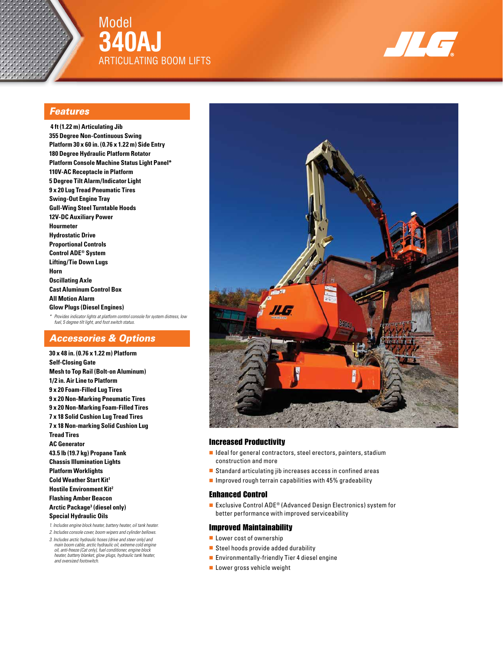

Model **340AJ** ARTICULATING BOOM LIFTS



### *Features*

 **4 ft (1.22 m) Articulating Jib 355 Degree Non-Continuous Swing Platform 30 x 60 in. (0.76 x 1.22 m) Side Entry 180 Degree Hydraulic Platform Rotator Platform Console Machine Status Light Panel\* 110V-AC Receptacle in Platform 5 Degree Tilt Alarm/Indicator Light 9 x 20 Lug Tread Pneumatic Tires Swing-Out Engine Tray Gull-Wing Steel Turntable Hoods 12V-DC Auxiliary Power Hourmeter Hydrostatic Drive Proportional Controls Control ADE® System Lifting/Tie Down Lugs Horn Oscillating Axle Cast Aluminum Control Box All Motion Alarm Glow Plugs (Diesel Engines)** *\* Provides indicator lights at platform control console for system distress, low fuel, 5 degree tilt light, and foot switch status.*

### *Accessories & Options*

**30 x 48 in. (0.76 x 1.22 m) Platform Self-Closing Gate Mesh to Top Rail (Bolt-on Aluminum) 1/2 in. Air Line to Platform 9 x 20 Foam-Filled Lug Tires 9 x 20 Non-Marking Pneumatic Tires 9 x 20 Non-Marking Foam-Filled Tires 7 x 18 Solid Cushion Lug Tread Tires 7 x 18 Non-marking Solid Cushion Lug Tread Tires AC Generator 43.5 lb (19.7 kg) Propane Tank Chassis Illumination Lights Platform Worklights Cold Weather Start Kit1 Hostile Environment Kit2 Flashing Amber Beacon Arctic Package3 (diesel only) Special Hydraulic Oils** *1. Includes engine block heater, battery heater, oil tank heater.*

- *2. Includes console cover, boom wipers and cylinder bellows.*
- *3. Includes arctic hydraulic hoses (drive and steer only) and main boom cable, arctic hydraulic oil, extreme cold engine oil, anti-freeze (Cat only), fuel conditioner, engine block heater, battery blanket, glow plugs, hydraulic tank heater, and oversized footswitch.*



### Increased Productivity

- Ideal for general contractors, steel erectors, painters, stadium construction and more
- Standard articulating jib increases access in confined areas
- Improved rough terrain capabilities with 45% gradeability

### Enhanced Control

■ Exclusive Control ADE<sup>®</sup> (Advanced Design Electronics) system for better performance with improved serviceability

### Improved Maintainability

- Lower cost of ownership
- Steel hoods provide added durability
- Environmentally-friendly Tier 4 diesel engine
- Lower gross vehicle weight